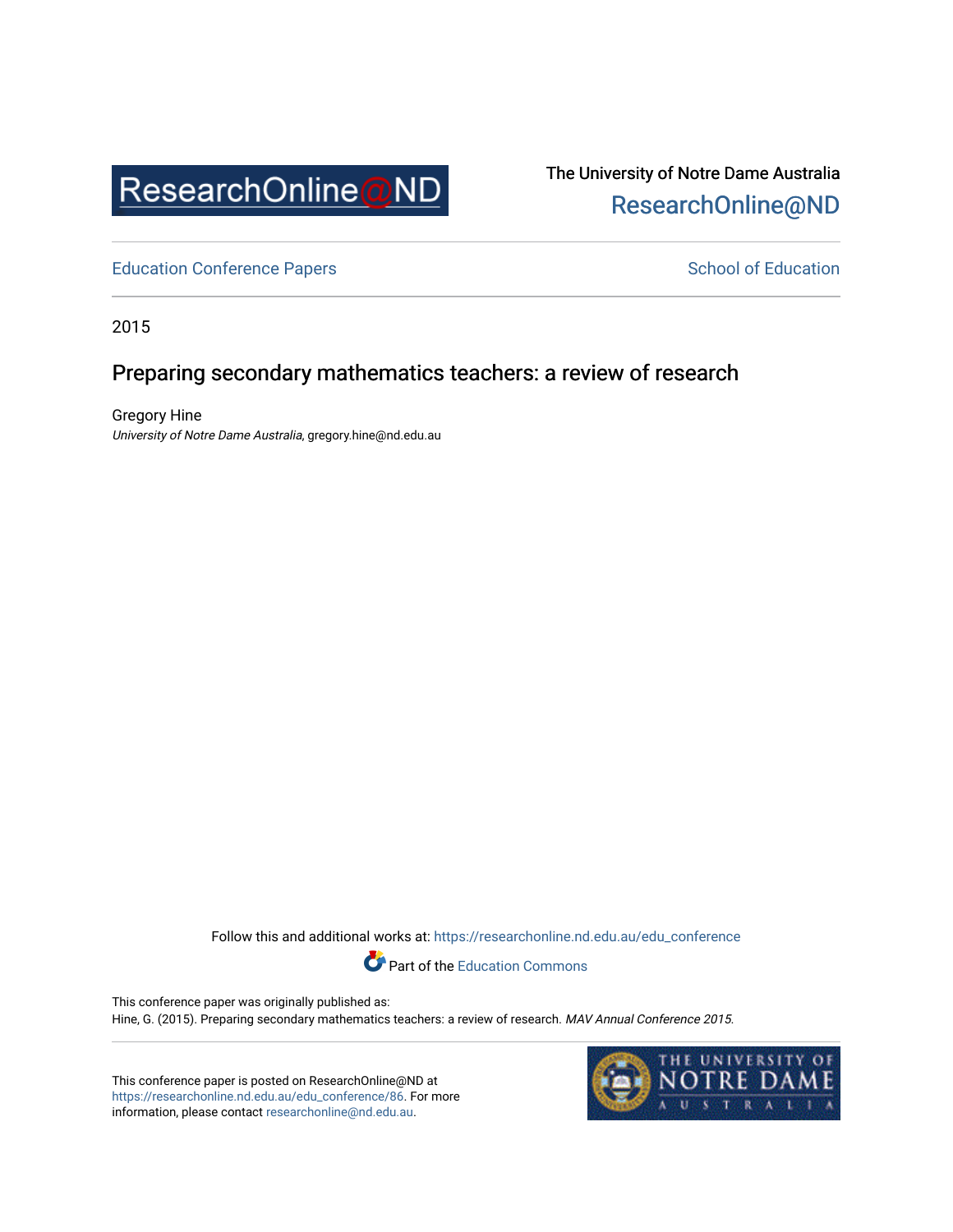

The University of Notre Dame Australia [ResearchOnline@ND](https://researchonline.nd.edu.au/) 

[Education Conference Papers](https://researchonline.nd.edu.au/edu_conference) **School of Education** School of Education

2015

## Preparing secondary mathematics teachers: a review of research

Gregory Hine University of Notre Dame Australia, gregory.hine@nd.edu.au

> Follow this and additional works at: [https://researchonline.nd.edu.au/edu\\_conference](https://researchonline.nd.edu.au/edu_conference?utm_source=researchonline.nd.edu.au%2Fedu_conference%2F86&utm_medium=PDF&utm_campaign=PDFCoverPages) Part of the [Education Commons](http://network.bepress.com/hgg/discipline/784?utm_source=researchonline.nd.edu.au%2Fedu_conference%2F86&utm_medium=PDF&utm_campaign=PDFCoverPages)

This conference paper was originally published as: Hine, G. (2015). Preparing secondary mathematics teachers: a review of research. MAV Annual Conference 2015.

This conference paper is posted on ResearchOnline@ND at [https://researchonline.nd.edu.au/edu\\_conference/86.](https://researchonline.nd.edu.au/edu_conference/86) For more information, please contact [researchonline@nd.edu.au.](mailto:researchonline@nd.edu.au)

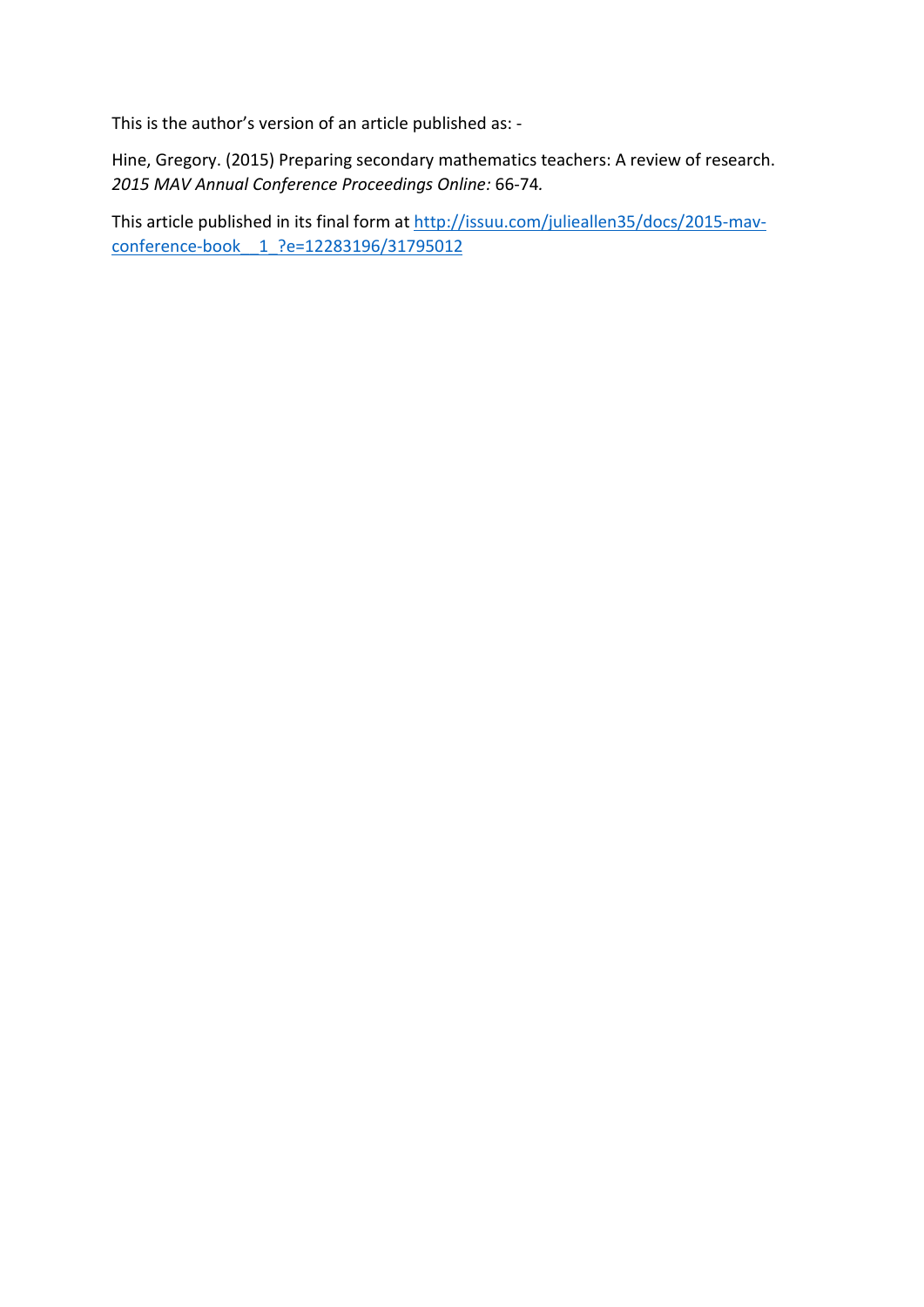This is the author's version of an article published as: -

Hine, Gregory. (2015) Preparing secondary mathematics teachers: A review of research. *2015 MAV Annual Conference Proceedings Online:* 66-74*.*

This article published in its final form at [http://issuu.com/julieallen35/docs/2015-mav](http://issuu.com/julieallen35/docs/2015-mav-conference-book__1_?e=12283196/31795012)[conference-book\\_\\_1\\_?e=12283196/31795012](http://issuu.com/julieallen35/docs/2015-mav-conference-book__1_?e=12283196/31795012)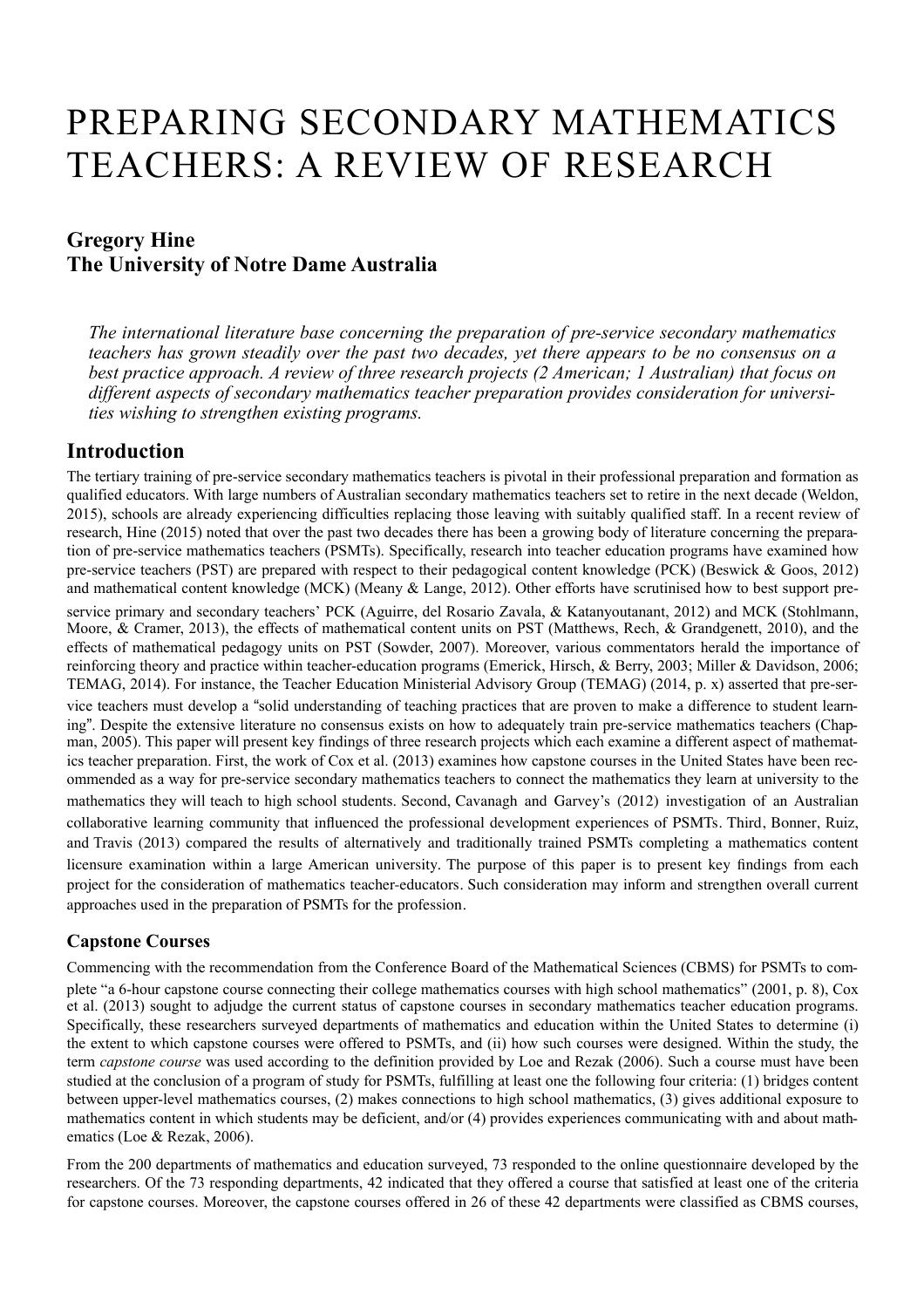# PREPARING SECONDARY MATHEMATICS TEACHERS: A REVIEW OF RESEARCH

## **Gregory Hine The University of Notre Dame Australia**

*The international literature base concerning the preparation of pre-service secondary mathematics teachers has grown steadily over the past two decades, yet there appears to be no consensus on a best practice approach. A review of three research projects (2 American; 1 Australian) that focus on different aspects of secondary mathematics teacher preparation provides consideration for universities wishing to strengthen existing programs.* 

### **Introduction**

The tertiary training of pre-service secondary mathematics teachers is pivotal in their professional preparation and formation as qualified educators. With large numbers of Australian secondary mathematics teachers set to retire in the next decade (Weldon, 2015), schools are already experiencing difficulties replacing those leaving with suitably qualified staff. In a recent review of research, Hine (2015) noted that over the past two decades there has been a growing body of literature concerning the preparation of pre-service mathematics teachers (PSMTs). Specifically, research into teacher education programs have examined how pre-service teachers (PST) are prepared with respect to their pedagogical content knowledge (PCK) (Beswick & Goos, 2012) and mathematical content knowledge (MCK) (Meany & Lange, 2012). Other efforts have scrutinised how to best support preservice primary and secondary teachers' PCK (Aguirre, del Rosario Zavala, & Katanyoutanant, 2012) and MCK (Stohlmann, Moore, & Cramer, 2013), the effects of mathematical content units on PST (Matthews, Rech, & Grandgenett, 2010), and the effects of mathematical pedagogy units on PST (Sowder, 2007). Moreover, various commentators herald the importance of reinforcing theory and practice within teacher-education programs (Emerick, Hirsch, & Berry, 2003; Miller & Davidson, 2006; TEMAG, 2014). For instance, the Teacher Education Ministerial Advisory Group (TEMAG) (2014, p. x) asserted that pre-service teachers must develop a "solid understanding of teaching practices that are proven to make a difference to student learning". Despite the extensive literature no consensus exists on how to adequately train pre-service mathematics teachers (Chapman, 2005). This paper will present key findings of three research projects which each examine a different aspect of mathematics teacher preparation. First, the work of Cox et al. (2013) examines how capstone courses in the United States have been recommended as a way for pre-service secondary mathematics teachers to connect the mathematics they learn at university to the mathematics they will teach to high school students. Second, Cavanagh and Garvey's (2012) investigation of an Australian collaborative learning community that influenced the professional development experiences of PSMTs. Third, Bonner, Ruiz, and Travis (2013) compared the results of alternatively and traditionally trained PSMTs completing a mathematics content licensure examination within a large American university. The purpose of this paper is to present key findings from each project for the consideration of mathematics teacher-educators. Such consideration may inform and strengthen overall current approaches used in the preparation of PSMTs for the profession.

#### **Capstone Courses**

Commencing with the recommendation from the Conference Board of the Mathematical Sciences (CBMS) for PSMTs to complete "a 6-hour capstone course connecting their college mathematics courses with high school mathematics" (2001, p. 8), Cox et al. (2013) sought to adjudge the current status of capstone courses in secondary mathematics teacher education programs. Specifically, these researchers surveyed departments of mathematics and education within the United States to determine (i) the extent to which capstone courses were offered to PSMTs, and (ii) how such courses were designed. Within the study, the term *capstone course* was used according to the definition provided by Loe and Rezak (2006). Such a course must have been studied at the conclusion of a program of study for PSMTs, fulfilling at least one the following four criteria: (1) bridges content between upper-level mathematics courses, (2) makes connections to high school mathematics, (3) gives additional exposure to mathematics content in which students may be deficient, and/or (4) provides experiences communicating with and about mathematics (Loe & Rezak, 2006).

From the 200 departments of mathematics and education surveyed, 73 responded to the online questionnaire developed by the researchers. Of the 73 responding departments, 42 indicated that they offered a course that satisfied at least one of the criteria for capstone courses. Moreover, the capstone courses offered in 26 of these 42 departments were classified as CBMS courses,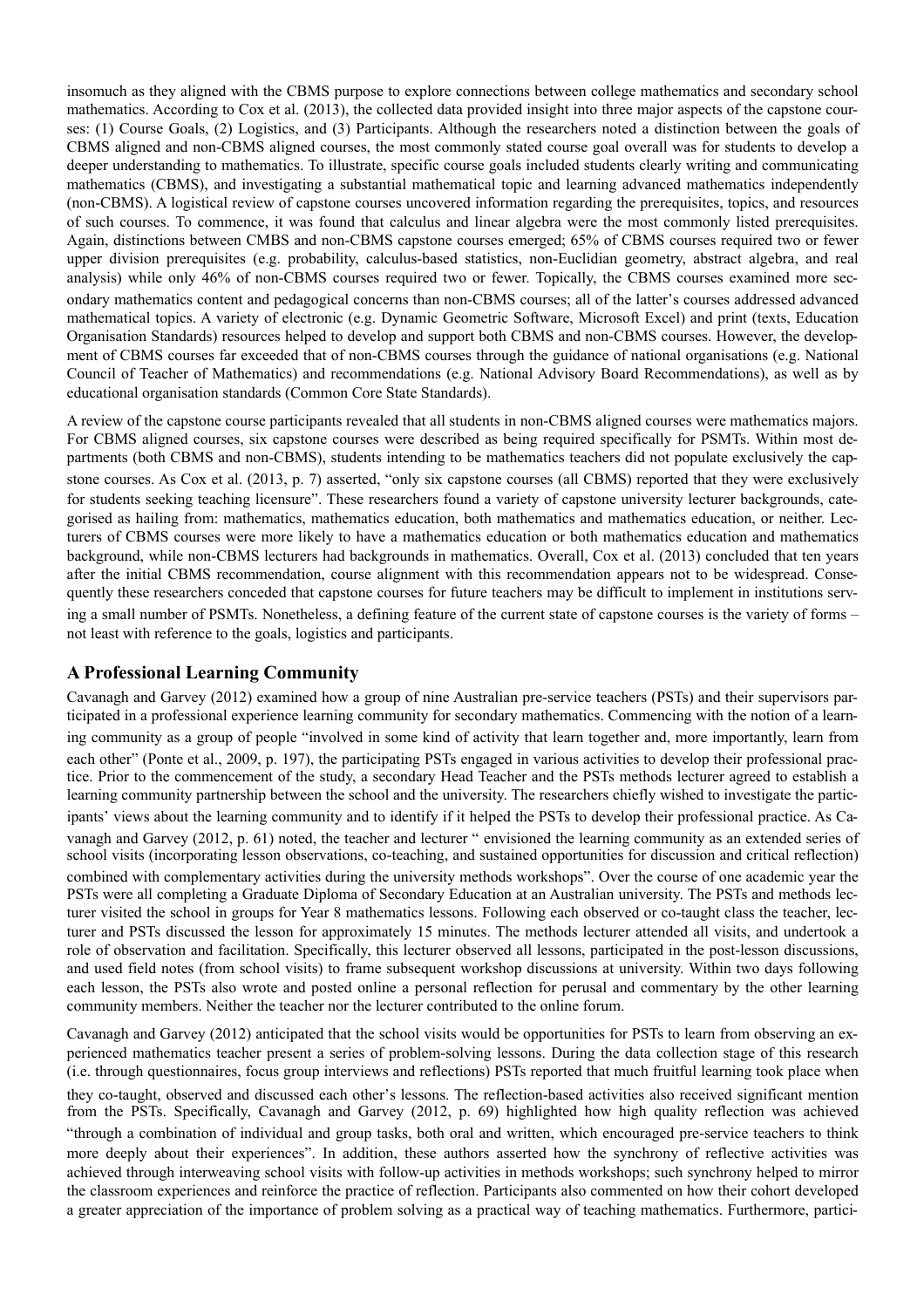insomuch as they aligned with the CBMS purpose to explore connections between college mathematics and secondary school mathematics. According to Cox et al. (2013), the collected data provided insight into three major aspects of the capstone courses: (1) Course Goals, (2) Logistics, and (3) Participants. Although the researchers noted a distinction between the goals of CBMS aligned and non-CBMS aligned courses, the most commonly stated course goal overall was for students to develop a deeper understanding to mathematics. To illustrate, specific course goals included students clearly writing and communicating mathematics (CBMS), and investigating a substantial mathematical topic and learning advanced mathematics independently (non-CBMS). A logistical review of capstone courses uncovered information regarding the prerequisites, topics, and resources of such courses. To commence, it was found that calculus and linear algebra were the most commonly listed prerequisites. Again, distinctions between CMBS and non-CBMS capstone courses emerged; 65% of CBMS courses required two or fewer upper division prerequisites (e.g. probability, calculus-based statistics, non-Euclidian geometry, abstract algebra, and real analysis) while only 46% of non-CBMS courses required two or fewer. Topically, the CBMS courses examined more secondary mathematics content and pedagogical concerns than non-CBMS courses; all of the latter's courses addressed advanced mathematical topics. A variety of electronic (e.g. Dynamic Geometric Software, Microsoft Excel) and print (texts, Education Organisation Standards) resources helped to develop and support both CBMS and non-CBMS courses. However, the development of CBMS courses far exceeded that of non-CBMS courses through the guidance of national organisations (e.g. National Council of Teacher of Mathematics) and recommendations (e.g. National Advisory Board Recommendations), as well as by educational organisation standards (Common Core State Standards).

A review of the capstone course participants revealed that all students in non-CBMS aligned courses were mathematics majors. For CBMS aligned courses, six capstone courses were described as being required specifically for PSMTs. Within most departments (both CBMS and non-CBMS), students intending to be mathematics teachers did not populate exclusively the capstone courses. As Cox et al. (2013, p. 7) asserted, "only six capstone courses (all CBMS) reported that they were exclusively for students seeking teaching licensure". These researchers found a variety of capstone university lecturer backgrounds, categorised as hailing from: mathematics, mathematics education, both mathematics and mathematics education, or neither. Lecturers of CBMS courses were more likely to have a mathematics education or both mathematics education and mathematics background, while non-CBMS lecturers had backgrounds in mathematics. Overall, Cox et al. (2013) concluded that ten years after the initial CBMS recommendation, course alignment with this recommendation appears not to be widespread. Consequently these researchers conceded that capstone courses for future teachers may be difficult to implement in institutions serving a small number of PSMTs. Nonetheless, a defining feature of the current state of capstone courses is the variety of forms – not least with reference to the goals, logistics and participants.

#### **A Professional Learning Community**

Cavanagh and Garvey (2012) examined how a group of nine Australian pre-service teachers (PSTs) and their supervisors participated in a professional experience learning community for secondary mathematics. Commencing with the notion of a learning community as a group of people "involved in some kind of activity that learn together and, more importantly, learn from each other" (Ponte et al., 2009, p. 197), the participating PSTs engaged in various activities to develop their professional practice. Prior to the commencement of the study, a secondary Head Teacher and the PSTs methods lecturer agreed to establish a learning community partnership between the school and the university. The researchers chiefly wished to investigate the participants' views about the learning community and to identify if it helped the PSTs to develop their professional practice. As Cavanagh and Garvey (2012, p. 61) noted, the teacher and lecturer " envisioned the learning community as an extended series of school visits (incorporating lesson observations, co-teaching, and sustained opportunities for discussion and critical reflection) combined with complementary activities during the university methods workshops". Over the course of one academic year the PSTs were all completing a Graduate Diploma of Secondary Education at an Australian university. The PSTs and methods lecturer visited the school in groups for Year 8 mathematics lessons. Following each observed or co-taught class the teacher, lecturer and PSTs discussed the lesson for approximately 15 minutes. The methods lecturer attended all visits, and undertook a role of observation and facilitation. Specifically, this lecturer observed all lessons, participated in the post-lesson discussions, and used field notes (from school visits) to frame subsequent workshop discussions at university. Within two days following each lesson, the PSTs also wrote and posted online a personal reflection for perusal and commentary by the other learning community members. Neither the teacher nor the lecturer contributed to the online forum.

Cavanagh and Garvey (2012) anticipated that the school visits would be opportunities for PSTs to learn from observing an experienced mathematics teacher present a series of problem-solving lessons. During the data collection stage of this research (i.e. through questionnaires, focus group interviews and reflections) PSTs reported that much fruitful learning took place when they co-taught, observed and discussed each other's lessons. The reflection-based activities also received significant mention from the PSTs. Specifically, Cavanagh and Garvey (2012, p. 69) highlighted how high quality reflection was achieved "through a combination of individual and group tasks, both oral and written, which encouraged pre-service teachers to think more deeply about their experiences". In addition, these authors asserted how the synchrony of reflective activities was achieved through interweaving school visits with follow-up activities in methods workshops; such synchrony helped to mirror the classroom experiences and reinforce the practice of reflection. Participants also commented on how their cohort developed a greater appreciation of the importance of problem solving as a practical way of teaching mathematics. Furthermore, partici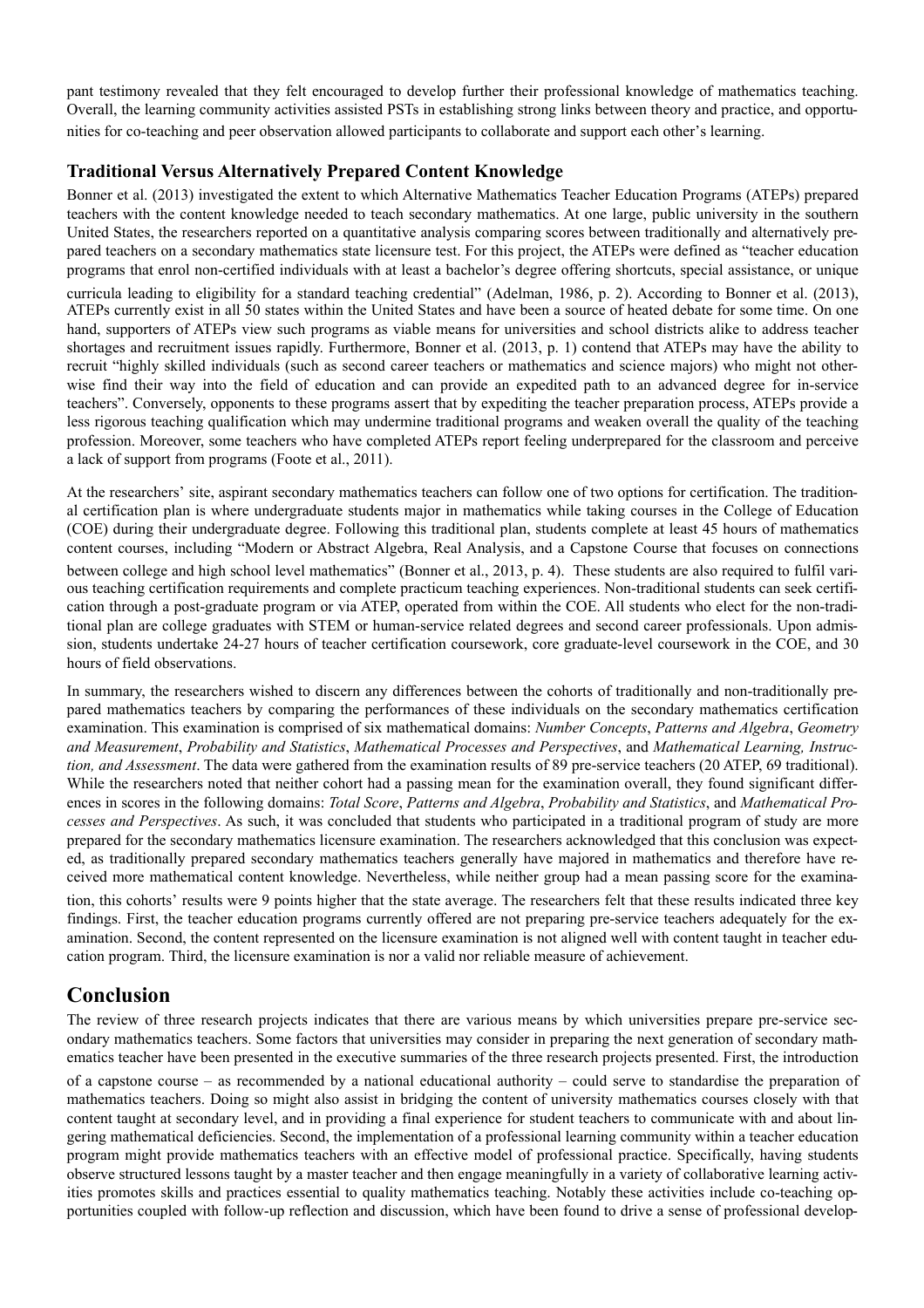pant testimony revealed that they felt encouraged to develop further their professional knowledge of mathematics teaching. Overall, the learning community activities assisted PSTs in establishing strong links between theory and practice, and opportunities for co-teaching and peer observation allowed participants to collaborate and support each other's learning.

#### **Traditional Versus Alternatively Prepared Content Knowledge**

Bonner et al. (2013) investigated the extent to which Alternative Mathematics Teacher Education Programs (ATEPs) prepared teachers with the content knowledge needed to teach secondary mathematics. At one large, public university in the southern United States, the researchers reported on a quantitative analysis comparing scores between traditionally and alternatively prepared teachers on a secondary mathematics state licensure test. For this project, the ATEPs were defined as "teacher education programs that enrol non-certified individuals with at least a bachelor's degree offering shortcuts, special assistance, or unique curricula leading to eligibility for a standard teaching credential" (Adelman, 1986, p. 2). According to Bonner et al. (2013), ATEPs currently exist in all 50 states within the United States and have been a source of heated debate for some time. On one hand, supporters of ATEPs view such programs as viable means for universities and school districts alike to address teacher shortages and recruitment issues rapidly. Furthermore, Bonner et al. (2013, p. 1) contend that ATEPs may have the ability to recruit "highly skilled individuals (such as second career teachers or mathematics and science majors) who might not otherwise find their way into the field of education and can provide an expedited path to an advanced degree for in-service teachers". Conversely, opponents to these programs assert that by expediting the teacher preparation process, ATEPs provide a

less rigorous teaching qualification which may undermine traditional programs and weaken overall the quality of the teaching profession. Moreover, some teachers who have completed ATEPs report feeling underprepared for the classroom and perceive a lack of support from programs (Foote et al., 2011).

At the researchers' site, aspirant secondary mathematics teachers can follow one of two options for certification. The traditional certification plan is where undergraduate students major in mathematics while taking courses in the College of Education (COE) during their undergraduate degree. Following this traditional plan, students complete at least 45 hours of mathematics content courses, including "Modern or Abstract Algebra, Real Analysis, and a Capstone Course that focuses on connections between college and high school level mathematics" (Bonner et al., 2013, p. 4). These students are also required to fulfil various teaching certification requirements and complete practicum teaching experiences. Non-traditional students can seek certification through a post-graduate program or via ATEP, operated from within the COE. All students who elect for the non-traditional plan are college graduates with STEM or human-service related degrees and second career professionals. Upon admission, students undertake 24-27 hours of teacher certification coursework, core graduate-level coursework in the COE, and 30 hours of field observations.

In summary, the researchers wished to discern any differences between the cohorts of traditionally and non-traditionally prepared mathematics teachers by comparing the performances of these individuals on the secondary mathematics certification examination. This examination is comprised of six mathematical domains: *Number Concepts*, *Patterns and Algebra*, *Geometry and Measurement*, *Probability and Statistics*, *Mathematical Processes and Perspectives*, and *Mathematical Learning, Instruction, and Assessment*. The data were gathered from the examination results of 89 pre-service teachers (20 ATEP, 69 traditional). While the researchers noted that neither cohort had a passing mean for the examination overall, they found significant differences in scores in the following domains: *Total Score*, *Patterns and Algebra*, *Probability and Statistics*, and *Mathematical Processes and Perspectives*. As such, it was concluded that students who participated in a traditional program of study are more prepared for the secondary mathematics licensure examination. The researchers acknowledged that this conclusion was expected, as traditionally prepared secondary mathematics teachers generally have majored in mathematics and therefore have received more mathematical content knowledge. Nevertheless, while neither group had a mean passing score for the examina-

tion, this cohorts' results were 9 points higher that the state average. The researchers felt that these results indicated three key findings. First, the teacher education programs currently offered are not preparing pre-service teachers adequately for the examination. Second, the content represented on the licensure examination is not aligned well with content taught in teacher education program. Third, the licensure examination is nor a valid nor reliable measure of achievement.

## **Conclusion**

The review of three research projects indicates that there are various means by which universities prepare pre-service secondary mathematics teachers. Some factors that universities may consider in preparing the next generation of secondary mathematics teacher have been presented in the executive summaries of the three research projects presented. First, the introduction of a capstone course – as recommended by a national educational authority – could serve to standardise the preparation of mathematics teachers. Doing so might also assist in bridging the content of university mathematics courses closely with that content taught at secondary level, and in providing a final experience for student teachers to communicate with and about lingering mathematical deficiencies. Second, the implementation of a professional learning community within a teacher education program might provide mathematics teachers with an effective model of professional practice. Specifically, having students observe structured lessons taught by a master teacher and then engage meaningfully in a variety of collaborative learning activities promotes skills and practices essential to quality mathematics teaching. Notably these activities include co-teaching opportunities coupled with follow-up reflection and discussion, which have been found to drive a sense of professional develop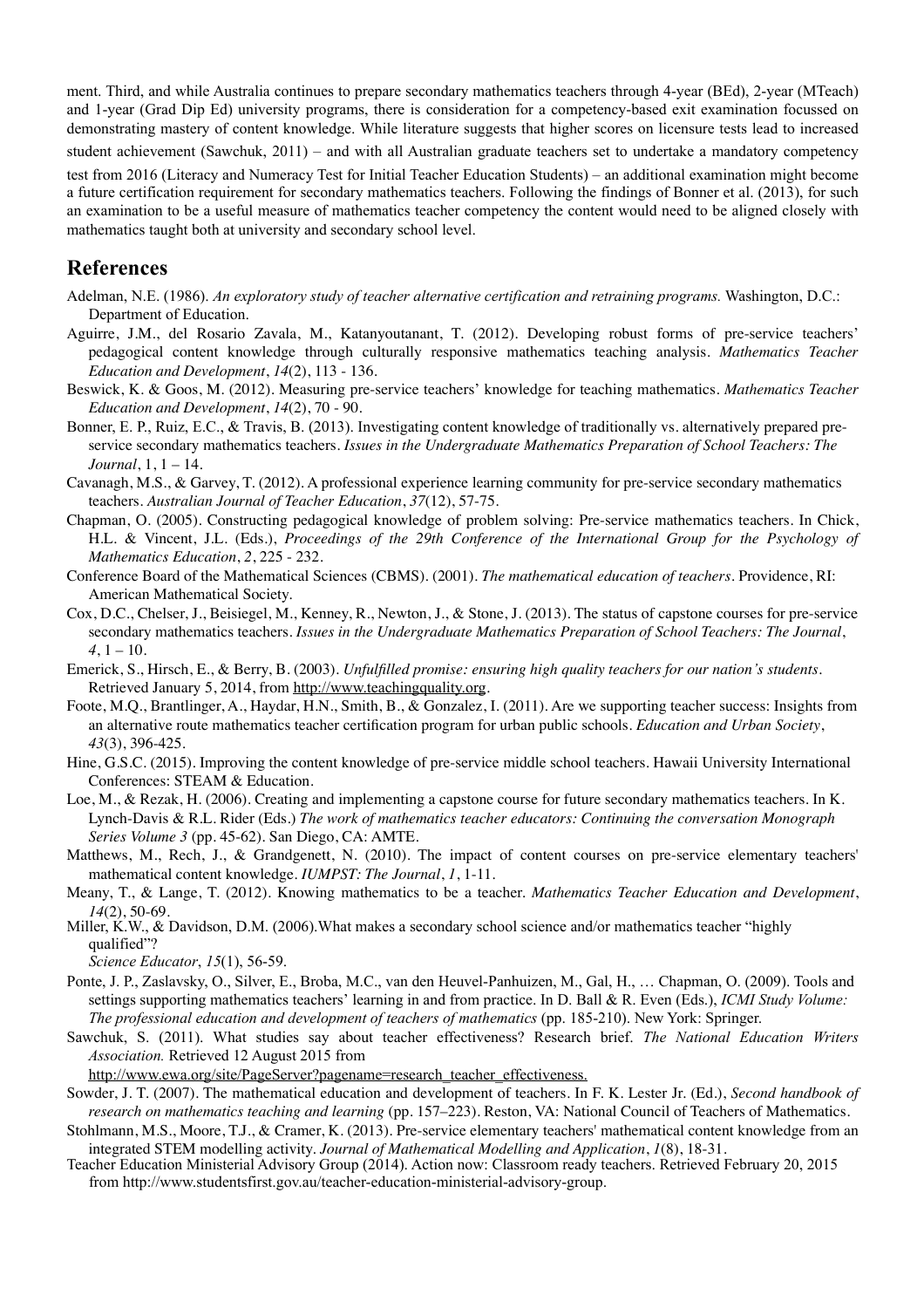ment. Third, and while Australia continues to prepare secondary mathematics teachers through 4-year (BEd), 2-year (MTeach) and 1-year (Grad Dip Ed) university programs, there is consideration for a competency-based exit examination focussed on demonstrating mastery of content knowledge. While literature suggests that higher scores on licensure tests lead to increased

student achievement (Sawchuk, 2011) – and with all Australian graduate teachers set to undertake a mandatory competency

test from 2016 (Literacy and Numeracy Test for Initial Teacher Education Students) – an additional examination might become a future certification requirement for secondary mathematics teachers. Following the findings of Bonner et al. (2013), for such an examination to be a useful measure of mathematics teacher competency the content would need to be aligned closely with mathematics taught both at university and secondary school level.

#### **References**

- Adelman, N.E. (1986). *An exploratory study of teacher alternative certification and retraining programs.* Washington, D.C.: Department of Education.
- Aguirre, J.M., del Rosario Zavala, M., Katanyoutanant, T. (2012). Developing robust forms of pre-service teachers' pedagogical content knowledge through culturally responsive mathematics teaching analysis. *Mathematics Teacher Education and Development*, *14*(2), 113 - 136.
- Beswick, K. & Goos, M. (2012). Measuring pre-service teachers' knowledge for teaching mathematics. *Mathematics Teacher Education and Development*, *14*(2), 70 - 90.
- Bonner, E. P., Ruiz, E.C., & Travis, B. (2013). Investigating content knowledge of traditionally vs. alternatively prepared preservice secondary mathematics teachers. *Issues in the Undergraduate Mathematics Preparation of School Teachers: The Journal*, 1, 1 – 14.
- Cavanagh, M.S., & Garvey, T. (2012). A professional experience learning community for pre-service secondary mathematics teachers. *Australian Journal of Teacher Education*, *37*(12), 57-75.
- Chapman, O. (2005). Constructing pedagogical knowledge of problem solving: Pre-service mathematics teachers. In Chick, H.L. & Vincent, J.L. (Eds.), *Proceedings of the 29th Conference of the International Group for the Psychology of Mathematics Education*, *2*, 225 - 232.
- Conference Board of the Mathematical Sciences (CBMS). (2001). *The mathematical education of teachers.* Providence, RI: American Mathematical Society.
- Cox, D.C., Chelser, J., Beisiegel, M., Kenney, R., Newton, J., & Stone, J. (2013). The status of capstone courses for pre-service secondary mathematics teachers. *Issues in the Undergraduate Mathematics Preparation of School Teachers: The Journal*,  $4, 1 - 10.$
- Emerick, S., Hirsch, E., & Berry, B. (2003). *Unfulfilled promise: ensuring high quality teachers for our nation's students.* Retrieved January 5, 2014, from <http://www.teachingquality.org>.
- Foote, M.Q., Brantlinger, A., Haydar, H.N., Smith, B., & Gonzalez, I. (2011). Are we supporting teacher success: Insights from an alternative route mathematics teacher certification program for urban public schools. *Education and Urban Society*, *43*(3), 396-425.
- Hine, G.S.C. (2015). Improving the content knowledge of pre-service middle school teachers. Hawaii University International Conferences: STEAM & Education.
- Loe, M., & Rezak, H. (2006). Creating and implementing a capstone course for future secondary mathematics teachers. In K. Lynch-Davis & R.L. Rider (Eds.) *The work of mathematics teacher educators: Continuing the conversation Monograph Series Volume 3* (pp. 45-62). San Diego, CA: AMTE.
- Matthews, M., Rech, J., & Grandgenett, N. (2010). The impact of content courses on pre-service elementary teachers' mathematical content knowledge. *IUMPST: The Journal*, *1*, 1-11.
- Meany, T., & Lange, T. (2012). Knowing mathematics to be a teacher. *Mathematics Teacher Education and Development*, *14*(2), 50-69.
- Miller, K.W., & Davidson, D.M. (2006).What makes a secondary school science and/or mathematics teacher "highly qualified"?

*Science Educator*, *15*(1), 56-59.

- Ponte, J. P., Zaslavsky, O., Silver, E., Broba, M.C., van den Heuvel-Panhuizen, M., Gal, H., … Chapman, O. (2009). Tools and settings supporting mathematics teachers' learning in and from practice. In D. Ball & R. Even (Eds.), *ICMI Study Volume: The professional education and development of teachers of mathematics* (pp. 185-210). New York: Springer.
- Sawchuk, S. (2011). What studies say about teacher effectiveness? Research brief. *The National Education Writers Association.* Retrieved 12 August 2015 from
	- [http://www.ewa.org/site/PageServer?pagename=research\\_teacher\\_effectiveness.](http://www.ewa.org/site/PageServer?pagename=research_teacher_effectiveness)
- Sowder, J. T. (2007). The mathematical education and development of teachers. In F. K. Lester Jr. (Ed.), *Second handbook of research on mathematics teaching and learning* (pp. 157–223). Reston, VA: National Council of Teachers of Mathematics.
- Stohlmann, M.S., Moore, T.J., & Cramer, K. (2013). Pre-service elementary teachers' mathematical content knowledge from an integrated STEM modelling activity. *Journal of Mathematical Modelling and Application*, *1*(8), 18-31.
- Teacher Education Ministerial Advisory Group (2014). Action now: Classroom ready teachers. Retrieved February 20, 2015 from http://www.studentsfirst.gov.au/teacher-education-ministerial-advisory-group.